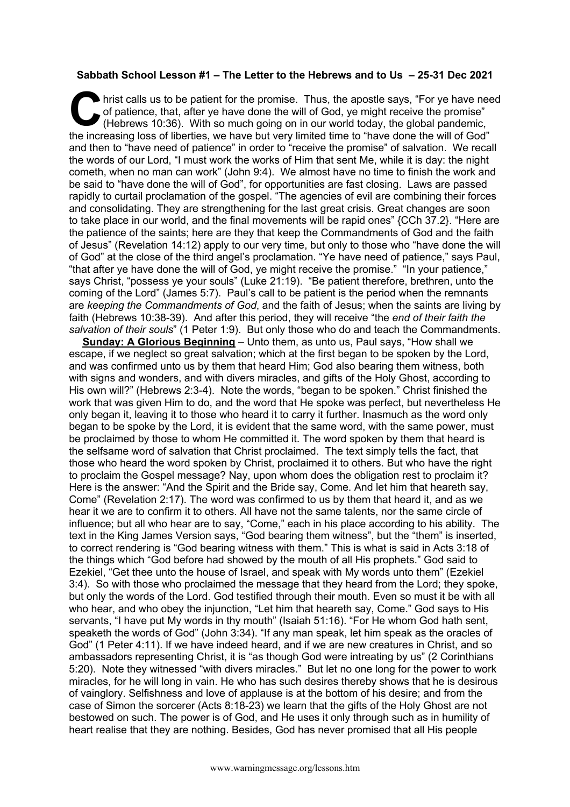## **Sabbath School Lesson #1 – The Letter to the Hebrews and to Us – 25-31 Dec 2021**

hrist calls us to be patient for the promise. Thus, the apostle says, "For ye have need of patience, that, after ye have done the will of God, ye might receive the promise" (Hebrews 10:36). With so much going on in our wor of patience, that, after ye have done the will of God, ye might receive the promise" (Hebrews 10:36). With so much going on in our world today, the global pandemic, the increasing loss of liberties, we have but very limited time to "have done the will of God" and then to "have need of patience" in order to "receive the promise" of salvation. We recall the words of our Lord, "I must work the works of Him that sent Me, while it is day: the night cometh, when no man can work" (John 9:4). We almost have no time to finish the work and be said to "have done the will of God", for opportunities are fast closing. Laws are passed rapidly to curtail proclamation of the gospel. "The agencies of evil are combining their forces and consolidating. They are strengthening for the last great crisis. Great changes are soon to take place in our world, and the final movements will be rapid ones" {CCh 37.2}. "Here are the patience of the saints; here are they that keep the Commandments of God and the faith of Jesus" (Revelation 14:12) apply to our very time, but only to those who "have done the will of God" at the close of the third angel's proclamation. "Ye have need of patience," says Paul, "that after ye have done the will of God, ye might receive the promise." "In your patience," says Christ, "possess ye your souls" (Luke 21:19). "Be patient therefore, brethren, unto the coming of the Lord" (James 5:7). Paul's call to be patient is the period when the remnants are *keeping the Commandments of God*, and the faith of Jesus; when the saints are living by faith (Hebrews 10:38-39). And after this period, they will receive "the *end of their faith the salvation of their souls*" (1 Peter 1:9). But only those who do and teach the Commandments.

**Sunday: A Glorious Beginning** – Unto them, as unto us, Paul says, "How shall we escape, if we neglect so great salvation; which at the first began to be spoken by the Lord, and was confirmed unto us by them that heard Him; God also bearing them witness, both with signs and wonders, and with divers miracles, and gifts of the Holy Ghost, according to His own will?" (Hebrews 2:3-4). Note the words, "began to be spoken." Christ finished the work that was given Him to do, and the word that He spoke was perfect, but nevertheless He only began it, leaving it to those who heard it to carry it further. Inasmuch as the word only began to be spoke by the Lord, it is evident that the same word, with the same power, must be proclaimed by those to whom He committed it. The word spoken by them that heard is the selfsame word of salvation that Christ proclaimed. The text simply tells the fact, that those who heard the word spoken by Christ, proclaimed it to others. But who have the right to proclaim the Gospel message? Nay, upon whom does the obligation rest to proclaim it? Here is the answer: "And the Spirit and the Bride say, Come. And let him that heareth say, Come" (Revelation 2:17). The word was confirmed to us by them that heard it, and as we hear it we are to confirm it to others. All have not the same talents, nor the same circle of influence; but all who hear are to say, "Come," each in his place according to his ability. The text in the King James Version says, "God bearing them witness", but the "them" is inserted, to correct rendering is "God bearing witness with them." This is what is said in Acts 3:18 of the things which "God before had showed by the mouth of all His prophets." God said to Ezekiel, "Get thee unto the house of Israel, and speak with My words unto them" (Ezekiel 3:4). So with those who proclaimed the message that they heard from the Lord; they spoke, but only the words of the Lord. God testified through their mouth. Even so must it be with all who hear, and who obey the injunction, "Let him that heareth say, Come." God says to His servants, "I have put My words in thy mouth" (Isaiah 51:16). "For He whom God hath sent, speaketh the words of God" (John 3:34). "If any man speak, let him speak as the oracles of God" (1 Peter 4:11). If we have indeed heard, and if we are new creatures in Christ, and so ambassadors representing Christ, it is "as though God were intreating by us" (2 Corinthians 5:20). Note they witnessed "with divers miracles." But let no one long for the power to work miracles, for he will long in vain. He who has such desires thereby shows that he is desirous of vainglory. Selfishness and love of applause is at the bottom of his desire; and from the case of Simon the sorcerer (Acts 8:18-23) we learn that the gifts of the Holy Ghost are not bestowed on such. The power is of God, and He uses it only through such as in humility of heart realise that they are nothing. Besides, God has never promised that all His people